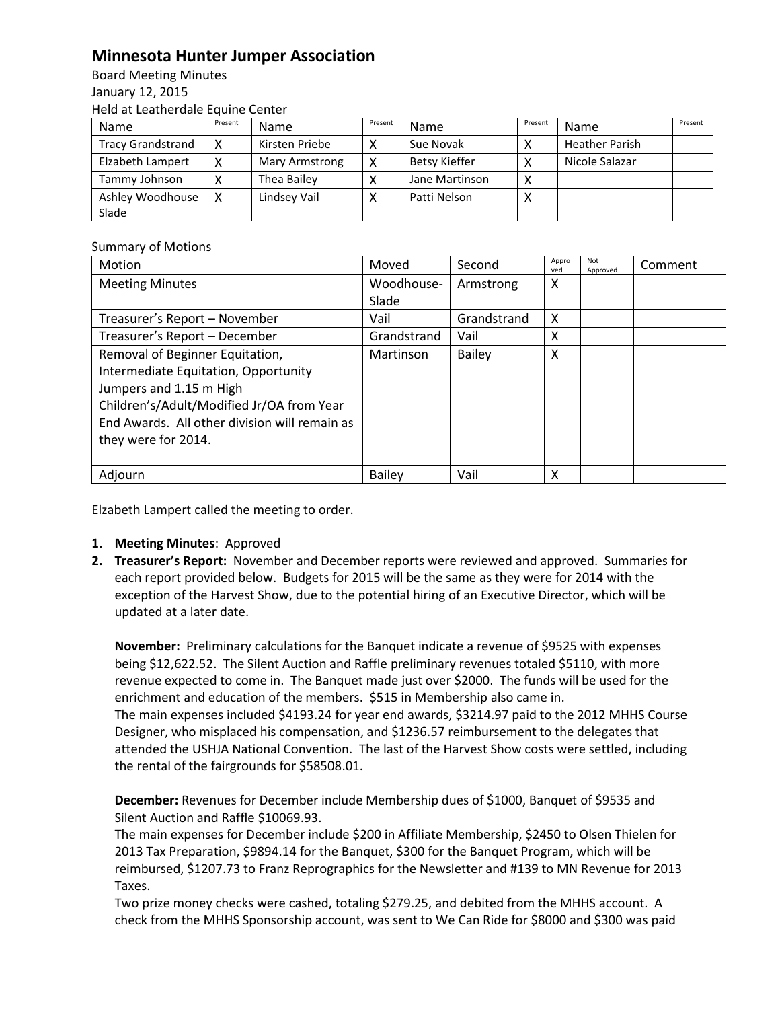## **Minnesota Hunter Jumper Association**

Board Meeting Minutes January 12, 2015 Held at Leatherdale Equine Center

| Name                     | Present | <b>Name</b>    | Present | <b>Name</b>          | Present      | Name                  | Present |
|--------------------------|---------|----------------|---------|----------------------|--------------|-----------------------|---------|
| <b>Tracy Grandstrand</b> |         | Kirsten Priebe |         | Sue Novak            |              | <b>Heather Parish</b> |         |
| Elzabeth Lampert         |         | Mary Armstrong | v       | <b>Betsy Kieffer</b> |              | Nicole Salazar        |         |
| Tammy Johnson            |         | Thea Bailey    |         | Jane Martinson       | $\checkmark$ |                       |         |
| Ashley Woodhouse         |         | Lindsey Vail   |         | Patti Nelson         |              |                       |         |
| Slade                    |         |                |         |                      |              |                       |         |

## Summary of Motions

| Motion                                        | Moved         | Second      | Appro<br>ved | Not<br>Approved | Comment |
|-----------------------------------------------|---------------|-------------|--------------|-----------------|---------|
| <b>Meeting Minutes</b>                        | Woodhouse-    | Armstrong   | x            |                 |         |
|                                               | Slade         |             |              |                 |         |
| Treasurer's Report - November                 | Vail          | Grandstrand | X            |                 |         |
| Treasurer's Report - December                 | Grandstrand   | Vail        | Χ            |                 |         |
| Removal of Beginner Equitation,               | Martinson     | Bailey      | Χ            |                 |         |
| Intermediate Equitation, Opportunity          |               |             |              |                 |         |
| Jumpers and 1.15 m High                       |               |             |              |                 |         |
| Children's/Adult/Modified Jr/OA from Year     |               |             |              |                 |         |
| End Awards. All other division will remain as |               |             |              |                 |         |
| they were for 2014.                           |               |             |              |                 |         |
|                                               |               |             |              |                 |         |
| Adjourn                                       | <b>Bailey</b> | Vail        | Χ            |                 |         |

Elzabeth Lampert called the meeting to order.

- **1. Meeting Minutes**: Approved
- **2. Treasurer's Report:** November and December reports were reviewed and approved. Summaries for each report provided below. Budgets for 2015 will be the same as they were for 2014 with the exception of the Harvest Show, due to the potential hiring of an Executive Director, which will be updated at a later date.

**November:** Preliminary calculations for the Banquet indicate a revenue of \$9525 with expenses being \$12,622.52. The Silent Auction and Raffle preliminary revenues totaled \$5110, with more revenue expected to come in. The Banquet made just over \$2000. The funds will be used for the enrichment and education of the members. \$515 in Membership also came in. The main expenses included \$4193.24 for year end awards, \$3214.97 paid to the 2012 MHHS Course Designer, who misplaced his compensation, and \$1236.57 reimbursement to the delegates that attended the USHJA National Convention. The last of the Harvest Show costs were settled, including the rental of the fairgrounds for \$58508.01.

**December:** Revenues for December include Membership dues of \$1000, Banquet of \$9535 and Silent Auction and Raffle \$10069.93.

The main expenses for December include \$200 in Affiliate Membership, \$2450 to Olsen Thielen for 2013 Tax Preparation, \$9894.14 for the Banquet, \$300 for the Banquet Program, which will be reimbursed, \$1207.73 to Franz Reprographics for the Newsletter and #139 to MN Revenue for 2013 Taxes.

Two prize money checks were cashed, totaling \$279.25, and debited from the MHHS account. A check from the MHHS Sponsorship account, was sent to We Can Ride for \$8000 and \$300 was paid